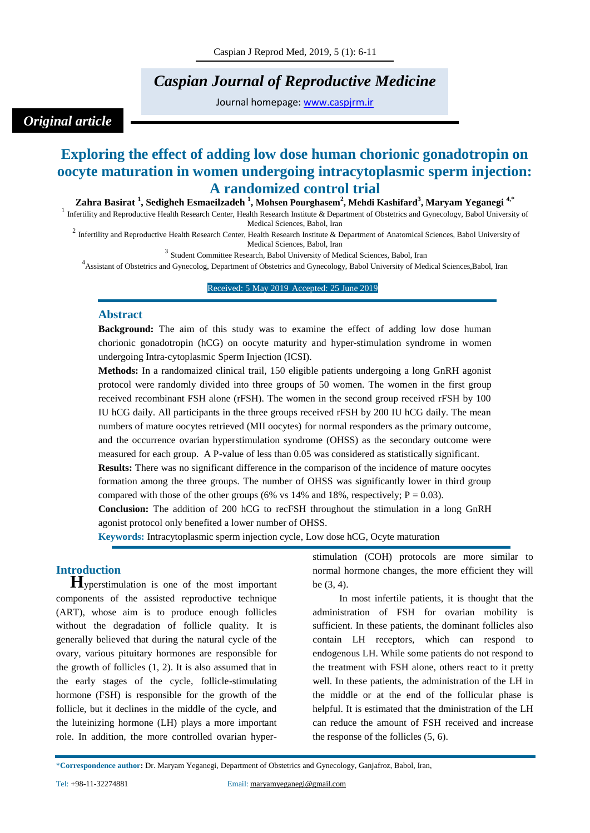# *Caspian Journal of Reproductive Medicine*

Journal homepage: [www.caspjrm.ir](http://www.caspjrm.ir/)

# *Original article*

# **Exploring the effect of adding low dose human chorionic gonadotropin on oocyte maturation in women undergoing intracytoplasmic sperm injection: A randomized control trial**

**Zahra Basirat <sup>1</sup> , Sedigheh Esmaeilzadeh <sup>1</sup> , Mohsen Pourghasem<sup>2</sup> , Mehdi Kashifard<sup>3</sup> , Maryam Yeganegi 4,\***

<sup>1</sup> Infertility and Reproductive Health Research Center, Health Research Institute & Department of Obstetrics and Gynecology, Babol University of Medical Sciences, Babol, Iran

<sup>2</sup> Infertility and Reproductive Health Research Center, Health Research Institute & Department of Anatomical Sciences, Babol University of Medical Sciences, Babol, Iran

<sup>3</sup> Student Committee Research, Babol University of Medical Sciences, Babol, Iran

<sup>4</sup> Assistant of Obstetrics and Gynecolog, Department of Obstetrics and Gynecology, Babol University of Medical Sciences, Babol, Iran

Received: 5 May 2019 Accepted: 25 June 2019

### **Abstract**

**Background:** The aim of this study was to examine the effect of adding low dose human chorionic gonadotropin (hCG) on oocyte maturity and hyper-stimulation syndrome in women undergoing Intra-cytoplasmic Sperm Injection (ICSI).

**Methods:** In a randomaized clinical trail, 150 eligible patients undergoing a long GnRH agonist protocol were randomly divided into three groups of 50 women. The women in the first group received recombinant FSH alone (rFSH). The women in the second group received rFSH by 100 IU hCG daily. All participants in the three groups received rFSH by 200 IU hCG daily. The mean numbers of mature oocytes retrieved (MII oocytes) for normal responders as the primary outcome, and the occurrence ovarian hyperstimulation syndrome (OHSS) as the secondary outcome were measured for each group. A P-value of less than 0.05 was considered as statistically significant.

**Results:** There was no significant difference in the comparison of the incidence of mature oocytes formation among the three groups. The number of OHSS was significantly lower in third group compared with those of the other groups (6% vs 14% and 18%, respectively;  $P = 0.03$ ).

**Conclusion:** The addition of 200 hCG to recFSH throughout the stimulation in a long GnRH agonist protocol only benefited a lower number of OHSS.

**Keywords:** Intracytoplasmic sperm injection cycle, Low dose hCG, Ocyte maturation

# **Introduction**

**H**yperstimulation is one of the most important components of the assisted reproductive technique (ART), whose aim is to produce enough follicles without the degradation of follicle quality. It is generally believed that during the natural cycle of the ovary, various pituitary hormones are responsible for the growth of follicles (1, 2). It is also assumed that in the early stages of the cycle, follicle-stimulating hormone (FSH) is responsible for the growth of the follicle, but it declines in the middle of the cycle, and the luteinizing hormone (LH) plays a more important role. In addition, the more controlled ovarian hyperstimulation (COH) protocols are more similar to normal hormone changes, the more efficient they will be (3, 4).

 In most infertile patients, it is thought that the administration of FSH for ovarian mobility is sufficient. In these patients, the dominant follicles also contain LH receptors, which can respond to endogenous LH. While some patients do not respond to the treatment with FSH alone, others react to it pretty well. In these patients, the administration of the LH in the middle or at the end of the follicular phase is helpful. It is estimated that the dministration of the LH can reduce the amount of FSH received and increase the response of the follicles (5, 6).

\***Correspondence author:** Dr. Maryam Yeganegi, Department of Obstetrics and Gynecology, Ganjafroz, Babol, Iran,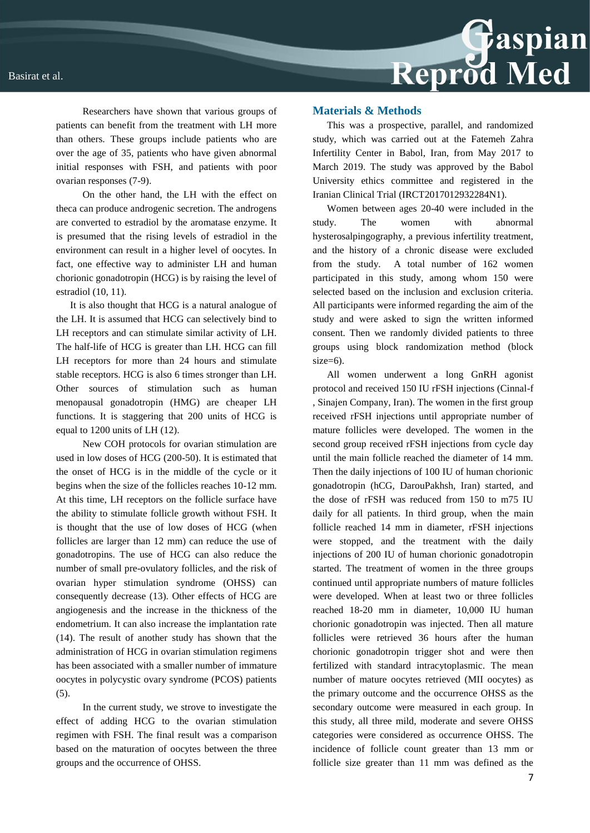Researchers have shown that various groups of patients can benefit from the treatment with LH more than others. These groups include patients who are over the age of 35, patients who have given abnormal initial responses with FSH, and patients with poor ovarian responses (7-9).

 On the other hand, the LH with the effect on theca can produce androgenic secretion. The androgens are converted to estradiol by the aromatase enzyme. It is presumed that the rising levels of estradiol in the environment can result in a higher level of oocytes. In fact, one effective way to administer LH and human chorionic gonadotropin (HCG) is by raising the level of estradiol (10, 11).

It is also thought that HCG is a natural analogue of the LH. It is assumed that HCG can selectively bind to LH receptors and can stimulate similar activity of LH. The half-life of HCG is greater than LH. HCG can fill LH receptors for more than 24 hours and stimulate stable receptors. HCG is also 6 times stronger than LH. Other sources of stimulation such as human menopausal gonadotropin (HMG) are cheaper LH functions. It is staggering that 200 units of HCG is equal to 1200 units of LH (12).

 New COH protocols for ovarian stimulation are used in low doses of HCG (200-50). It is estimated that the onset of HCG is in the middle of the cycle or it begins when the size of the follicles reaches 10-12 mm. At this time, LH receptors on the follicle surface have the ability to stimulate follicle growth without FSH. It is thought that the use of low doses of HCG (when follicles are larger than 12 mm) can reduce the use of gonadotropins. The use of HCG can also reduce the number of small pre-ovulatory follicles, and the risk of ovarian hyper stimulation syndrome (OHSS) can consequently decrease (13). Other effects of HCG are angiogenesis and the increase in the thickness of the endometrium. It can also increase the implantation rate (14). The result of another study has shown that the administration of HCG in ovarian stimulation regimens has been associated with a smaller number of immature oocytes in polycystic ovary syndrome (PCOS) patients (5).

 In the current study, we strove to investigate the effect of adding HCG to the ovarian stimulation regimen with FSH. The final result was a comparison based on the maturation of oocytes between the three groups and the occurrence of OHSS.

# **Materials & Methods**

This was a prospective, parallel, and randomized study, which was carried out at the Fatemeh Zahra Infertility Center in Babol, Iran, from May 2017 to March 2019. The study was approved by the Babol University ethics committee and registered in the Iranian Clinical Trial (IRCT2017012932284N1).

Women between ages 20-40 were included in the study. The women with abnormal hysterosalpingography, a previous infertility treatment, and the history of a chronic disease were excluded from the study. A total number of 162 women participated in this study, among whom 150 were selected based on the inclusion and exclusion criteria. All participants were informed regarding the aim of the study and were asked to sign the written informed consent. Then we randomly divided patients to three groups using block randomization method (block size=6).

All women underwent a long GnRH agonist protocol and received 150 IU rFSH injections (Cinnal-f , Sinajen Company, Iran). The women in the first group received rFSH injections until appropriate number of mature follicles were developed. The women in the second group received rFSH injections from cycle day until the main follicle reached the diameter of 14 mm. Then the daily injections of 100 IU of human chorionic gonadotropin (hCG, DarouPakhsh, Iran) started, and the dose of rFSH was reduced from 150 to m75 IU daily for all patients. In third group, when the main follicle reached 14 mm in diameter, rFSH injections were stopped, and the treatment with the daily injections of 200 IU of human chorionic gonadotropin started. The treatment of women in the three groups continued until appropriate numbers of mature follicles were developed. When at least two or three follicles reached 18-20 mm in diameter, 10,000 IU human chorionic gonadotropin was injected. Then all mature follicles were retrieved 36 hours after the human chorionic gonadotropin trigger shot and were then fertilized with standard intracytoplasmic. The mean number of mature oocytes retrieved (MII oocytes) as the primary outcome and the occurrence OHSS as the secondary outcome were measured in each group. In this study, all three mild, moderate and severe OHSS categories were considered as occurrence OHSS. The incidence of follicle count greater than 13 mm or follicle size greater than 11 mm was defined as the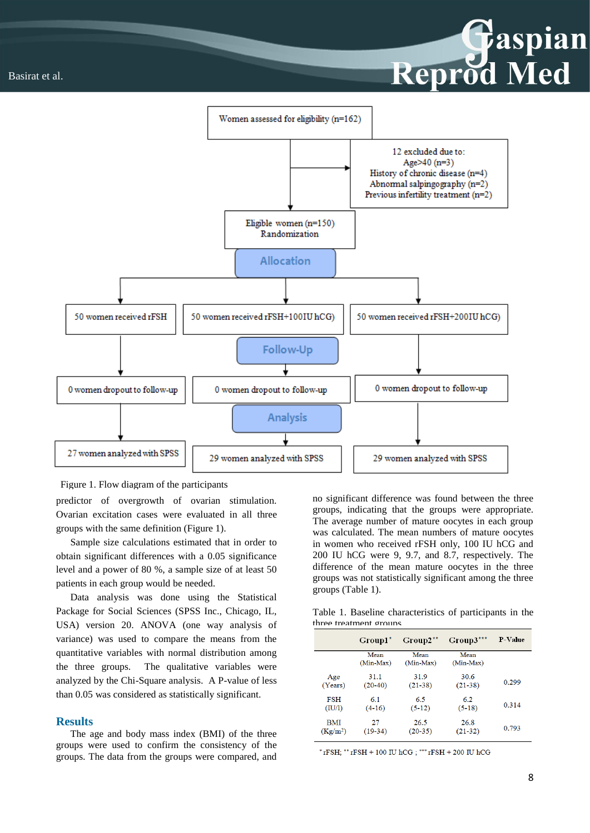



Figure 1. Flow diagram of the participants

predictor of overgrowth of ovarian stimulation. Ovarian excitation cases were evaluated in all three groups with the same definition (Figure 1).

Sample size calculations estimated that in order to obtain significant differences with a 0.05 significance level and a power of 80 %, a sample size of at least 50 patients in each group would be needed.

Data analysis was done using the Statistical Package for Social Sciences (SPSS Inc., Chicago, IL, USA) version 20. ANOVA (one way analysis of variance) was used to compare the means from the quantitative variables with normal distribution among the three groups. The qualitative variables were analyzed by the Chi-Square analysis. A P-value of less than 0.05 was considered as statistically significant.

## **Results**

The age and body mass index (BMI) of the three groups were used to confirm the consistency of the groups. The data from the groups were compared, and no significant difference was found between the three groups, indicating that the groups were appropriate. The average number of mature oocytes in each group was calculated. The mean numbers of mature oocytes in women who received rFSH only, 100 IU hCG and 200 IU hCG were 9, 9.7, and 8.7, respectively. The difference of the mean mature oocytes in the three groups was not statistically significant among the three groups (Table 1).

Table 1. Baseline characteristics of participants in the three treatment groups

|                      | $Group1*$         | $Group2***$       | $Group3***$       | P-Value |
|----------------------|-------------------|-------------------|-------------------|---------|
|                      | Mean<br>(Min-Max) | Mean<br>(Min-Max) | Mean<br>(Min Max) |         |
| Age                  | 31.1              | 319               | 30.6              | 0.299   |
| (Years)              | $(20-40)$         | $(21-38)$         | $(21-38)$         |         |
| FSH                  | 61                | 65                | 62                | 0.314   |
| (IU/I)               | $(4-16)$          | $(5-12)$          | $(5-18)$          |         |
| <b>BMI</b>           | 27                | 26.5              | 26.8              | 0.793   |
| (Kg/m <sup>2</sup> ) | $(19-34)$         | $(20-35)$         | $(21-32)$         |         |

\* rFSH; \*\* rFSH + 100 IU hCG; \*\*\* rFSH + 200 IU hCG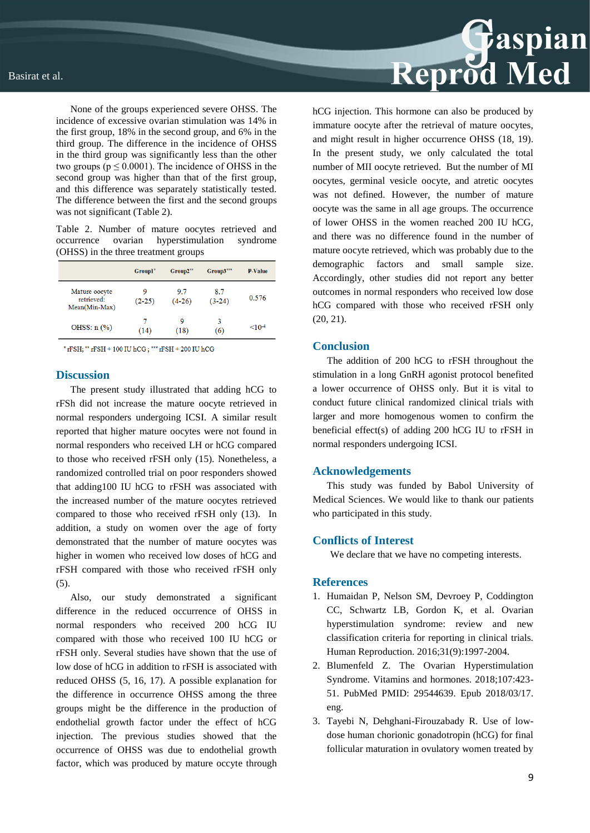None of the groups experienced severe OHSS. The incidence of excessive ovarian stimulation was 14% in the first group, 18% in the second group, and 6% in the third group. The difference in the incidence of OHSS in the third group was significantly less than the other two groups ( $p \le 0.0001$ ). The incidence of OHSS in the second group was higher than that of the first group, and this difference was separately statistically tested. The difference between the first and the second groups was not significant (Table 2).

Table 2. Number of mature oocytes retrieved and occurrence ovarian hyperstimulation syndrome (OHSS) in the three treatment groups

|                                              | Groupl <sup>*</sup> | Group2"         | $Group3***$     | P-Value  |
|----------------------------------------------|---------------------|-----------------|-----------------|----------|
| Mature oocyte<br>retrieved:<br>Mean(Min-Max) | 9<br>$(2-25)$       | 9.7<br>$(4-26)$ | 8.7<br>$(3-24)$ | 0.576    |
| OHSS: $n$ $%$                                | 7<br>(14)           | 9<br>(18)       | 3<br>(6)        | $< 10-4$ |

 $*$ rFSH;  $**$ rFSH + 100 IU hCG;  $***$ rFSH + 200 IU hCG

## **Discussion**

The present study illustrated that adding hCG to rFSh did not increase the mature oocyte retrieved in normal responders undergoing ICSI. A similar result reported that higher mature oocytes were not found in normal responders who received LH or hCG compared to those who received rFSH only (15). Nonetheless, a randomized controlled trial on poor responders showed that adding100 IU hCG to rFSH was associated with the increased number of the mature oocytes retrieved compared to those who received rFSH only (13). In addition, a study on women over the age of forty demonstrated that the number of mature oocytes was higher in women who received low doses of hCG and rFSH compared with those who received rFSH only (5).

Also, our study demonstrated a significant difference in the reduced occurrence of OHSS in normal responders who received 200 hCG IU compared with those who received 100 IU hCG or rFSH only. Several studies have shown that the use of low dose of hCG in addition to rFSH is associated with reduced OHSS (5, 16, 17). A possible explanation for the difference in occurrence OHSS among the three groups might be the difference in the production of endothelial growth factor under the effect of hCG injection. The previous studies showed that the occurrence of OHSS was due to endothelial growth factor, which was produced by mature occyte through



hCG injection. This hormone can also be produced by immature oocyte after the retrieval of mature oocytes, and might result in higher occurrence OHSS (18, 19). In the present study, we only calculated the total number of MII oocyte retrieved. But the number of MI oocytes, germinal vesicle oocyte, and atretic oocytes was not defined. However, the number of mature oocyte was the same in all age groups. The occurrence of lower OHSS in the women reached 200 IU hCG, and there was no difference found in the number of mature oocyte retrieved, which was probably due to the demographic factors and small sample size. Accordingly, other studies did not report any better outcomes in normal responders who received low dose hCG compared with those who received rFSH only (20, 21).

### **Conclusion**

The addition of 200 hCG to rFSH throughout the stimulation in a long GnRH agonist protocol benefited a lower occurrence of OHSS only. But it is vital to conduct future clinical randomized clinical trials with larger and more homogenous women to confirm the beneficial effect(s) of adding 200 hCG IU to rFSH in normal responders undergoing ICSI.

### **Acknowledgements**

This study was funded by Babol University of Medical Sciences. We would like to thank our patients who participated in this study.

### **Conflicts of Interest**

We declare that we have no competing interests.

#### **References**

- 1. Humaidan P, Nelson SM, Devroey P, Coddington CC, Schwartz LB, Gordon K, et al. Ovarian hyperstimulation syndrome: review and new classification criteria for reporting in clinical trials. Human Reproduction. 2016;31(9):1997-2004.
- 2. Blumenfeld Z. The Ovarian Hyperstimulation Syndrome. Vitamins and hormones. 2018;107:423- 51. PubMed PMID: 29544639. Epub 2018/03/17. eng.
- 3. Tayebi N, Dehghani-Firouzabady R. Use of lowdose human chorionic gonadotropin (hCG) for final follicular maturation in ovulatory women treated by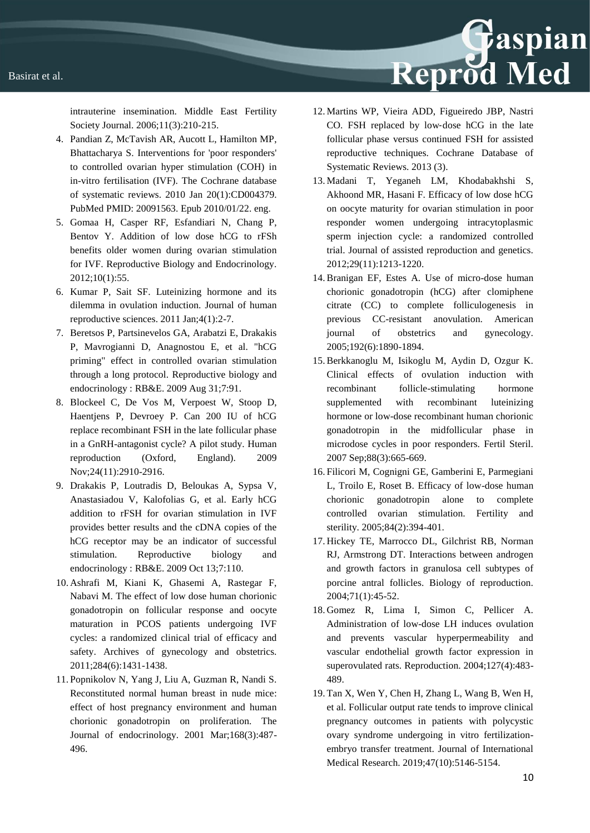intrauterine insemination. Middle East Fertility Society Journal. 2006;11(3):210-215.

- 4. Pandian Z, McTavish AR, Aucott L, Hamilton MP, Bhattacharya S. Interventions for 'poor responders' to controlled ovarian hyper stimulation (COH) in in-vitro fertilisation (IVF). The Cochrane database of systematic reviews. 2010 Jan 20(1):CD004379. PubMed PMID: 20091563. Epub 2010/01/22. eng.
- 5. Gomaa H, Casper RF, Esfandiari N, Chang P, Bentov Y. Addition of low dose hCG to rFSh benefits older women during ovarian stimulation for IVF. Reproductive Biology and Endocrinology. 2012;10(1):55.
- 6. Kumar P, Sait SF. Luteinizing hormone and its dilemma in ovulation induction. Journal of human reproductive sciences. 2011 Jan;4(1):2-7.
- 7. Beretsos P, Partsinevelos GA, Arabatzi E, Drakakis P, Mavrogianni D, Anagnostou E, et al. "hCG priming" effect in controlled ovarian stimulation through a long protocol. Reproductive biology and endocrinology : RB&E. 2009 Aug 31;7:91.
- 8. Blockeel C, De Vos M, Verpoest W, Stoop D, Haentjens P, Devroey P. Can 200 IU of hCG replace recombinant FSH in the late follicular phase in a GnRH-antagonist cycle? A pilot study. Human reproduction (Oxford, England). 2009 Nov;24(11):2910-2916.
- 9. Drakakis P, Loutradis D, Beloukas A, Sypsa V, Anastasiadou V, Kalofolias G, et al. Early hCG addition to rFSH for ovarian stimulation in IVF provides better results and the cDNA copies of the hCG receptor may be an indicator of successful stimulation. Reproductive biology and endocrinology : RB&E. 2009 Oct 13;7:110.
- 10. Ashrafi M, Kiani K, Ghasemi A, Rastegar F, Nabavi M. The effect of low dose human chorionic gonadotropin on follicular response and oocyte maturation in PCOS patients undergoing IVF cycles: a randomized clinical trial of efficacy and safety. Archives of gynecology and obstetrics. 2011;284(6):1431-1438.
- 11. Popnikolov N, Yang J, Liu A, Guzman R, Nandi S. Reconstituted normal human breast in nude mice: effect of host pregnancy environment and human chorionic gonadotropin on proliferation. The Journal of endocrinology. 2001 Mar;168(3):487- 496.

12. Martins WP, Vieira ADD, Figueiredo JBP, Nastri CO. FSH replaced by low‐dose hCG in the late follicular phase versus continued FSH for assisted reproductive techniques. Cochrane Database of Systematic Reviews. 2013 (3).

Reprod Med

- 13. Madani T, Yeganeh LM, Khodabakhshi S, Akhoond MR, Hasani F. Efficacy of low dose hCG on oocyte maturity for ovarian stimulation in poor responder women undergoing intracytoplasmic sperm injection cycle: a randomized controlled trial. Journal of assisted reproduction and genetics. 2012;29(11):1213-1220.
- 14.Branigan EF, Estes A. Use of micro-dose human chorionic gonadotropin (hCG) after clomiphene citrate (CC) to complete folliculogenesis in previous CC-resistant anovulation. American journal of obstetrics and gynecology. 2005;192(6):1890-1894.
- 15.Berkkanoglu M, Isikoglu M, Aydin D, Ozgur K. Clinical effects of ovulation induction with recombinant follicle-stimulating hormone supplemented with recombinant luteinizing hormone or low-dose recombinant human chorionic gonadotropin in the midfollicular phase in microdose cycles in poor responders. Fertil Steril. 2007 Sep;88(3):665-669.
- 16. Filicori M, Cognigni GE, Gamberini E, Parmegiani L, Troilo E, Roset B. Efficacy of low-dose human chorionic gonadotropin alone to complete controlled ovarian stimulation. Fertility and sterility. 2005;84(2):394-401.
- 17. Hickey TE, Marrocco DL, Gilchrist RB, Norman RJ, Armstrong DT. Interactions between androgen and growth factors in granulosa cell subtypes of porcine antral follicles. Biology of reproduction. 2004;71(1):45-52.
- 18. Gomez R, Lima I, Simon C, Pellicer A. Administration of low-dose LH induces ovulation and prevents vascular hyperpermeability and vascular endothelial growth factor expression in superovulated rats. Reproduction. 2004;127(4):483- 489.
- 19. Tan X, Wen Y, Chen H, Zhang L, Wang B, Wen H, et al. Follicular output rate tends to improve clinical pregnancy outcomes in patients with polycystic ovary syndrome undergoing in vitro fertilizationembryo transfer treatment. Journal of International Medical Research. 2019;47(10):5146-5154.